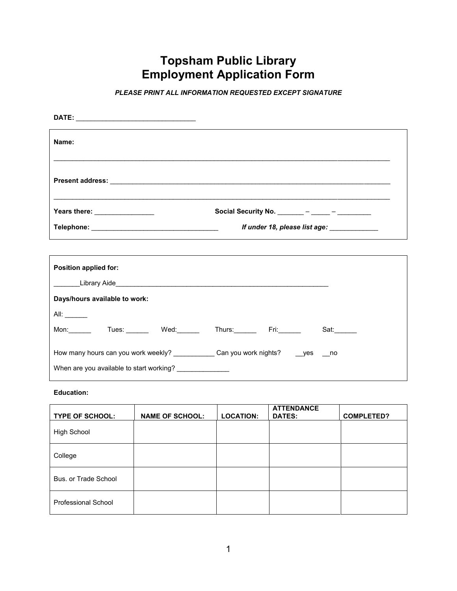## **Topsham Public Library Employment Application Form**

*PLEASE PRINT ALL INFORMATION REQUESTED EXCEPT SIGNATURE*

| Name:                                                                                |                                                                                                                         |
|--------------------------------------------------------------------------------------|-------------------------------------------------------------------------------------------------------------------------|
|                                                                                      |                                                                                                                         |
| Years there: ________________                                                        | Social Security No. $\frac{1}{\frac{1}{2} \cdot 1}$ - $\frac{1}{\frac{1}{2} \cdot 1}$ - $\frac{1}{\frac{1}{2} \cdot 1}$ |
|                                                                                      | If under 18, please list age: _____________                                                                             |
| Position applied for:                                                                |                                                                                                                         |
|                                                                                      |                                                                                                                         |
| Days/hours available to work:                                                        |                                                                                                                         |
|                                                                                      |                                                                                                                         |
|                                                                                      | Mon: Tues: Wed: Thurs: Fri: Sat: Sat:                                                                                   |
| How many hours can you work weekly? _____________Can you work nights? _____yes ___no |                                                                                                                         |
| When are you available to start working? ______________                              |                                                                                                                         |

## **Education:**

| <b>TYPE OF SCHOOL:</b>     | <b>NAME OF SCHOOL:</b> | <b>LOCATION:</b> | <b>ATTENDANCE</b><br><b>DATES:</b> | <b>COMPLETED?</b> |
|----------------------------|------------------------|------------------|------------------------------------|-------------------|
| <b>High School</b>         |                        |                  |                                    |                   |
| College                    |                        |                  |                                    |                   |
| Bus, or Trade School       |                        |                  |                                    |                   |
| <b>Professional School</b> |                        |                  |                                    |                   |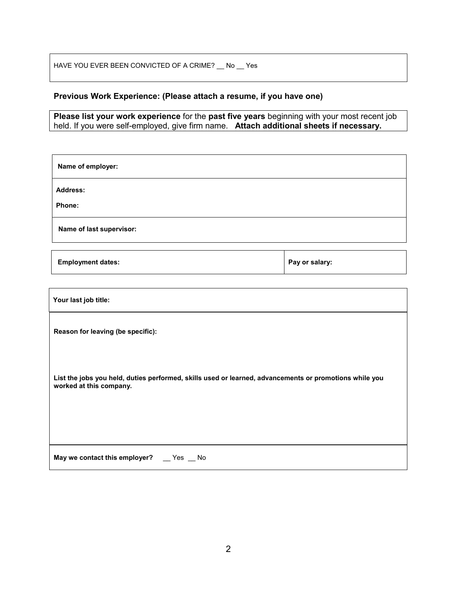HAVE YOU EVER BEEN CONVICTED OF A CRIME?  $\_$  No  $\_$  Yes

## **Previous Work Experience: (Please attach a resume, if you have one)**

**Please list your work experience** for the **past five years** beginning with your most recent job held. If you were self-employed, give firm name. **Attach additional sheets if necessary.**

| Name of employer:                                                                                                                 |                |  |
|-----------------------------------------------------------------------------------------------------------------------------------|----------------|--|
| <b>Address:</b>                                                                                                                   |                |  |
| Phone:                                                                                                                            |                |  |
| Name of last supervisor:                                                                                                          |                |  |
| <b>Employment dates:</b>                                                                                                          | Pay or salary: |  |
|                                                                                                                                   |                |  |
| Your last job title:                                                                                                              |                |  |
| Reason for leaving (be specific):                                                                                                 |                |  |
| List the jobs you held, duties performed, skills used or learned, advancements or promotions while you<br>worked at this company. |                |  |
| May we contact this employer? _ Yes _ No                                                                                          |                |  |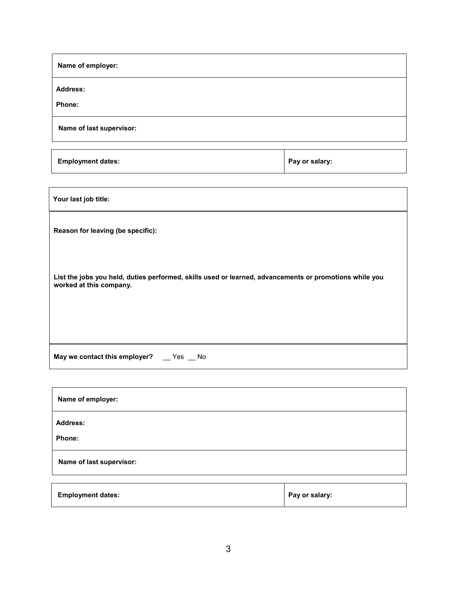| Name of employer:                |  |
|----------------------------------|--|
| <b>Address:</b><br><b>Phone:</b> |  |
| Name of last supervisor:         |  |

**Employment dates: Pay or salary: Pay or salary:** 

| Your last job title:                                                                                                              |
|-----------------------------------------------------------------------------------------------------------------------------------|
| Reason for leaving (be specific):                                                                                                 |
| List the jobs you held, duties performed, skills used or learned, advancements or promotions while you<br>worked at this company. |
| May we contact this employer? __ Yes _ No                                                                                         |

| Name of employer:         |                |
|---------------------------|----------------|
| <b>Address:</b><br>Phone: |                |
| Name of last supervisor:  |                |
| <b>Employment dates:</b>  | Pay or salary: |